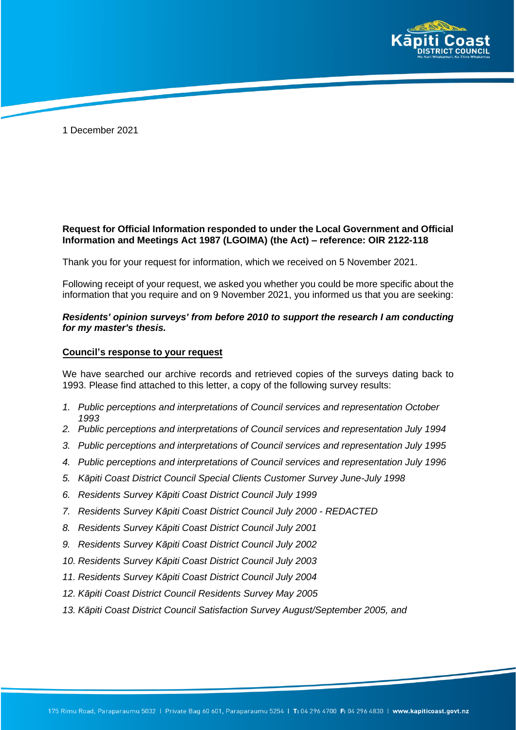

1 December 2021

## **Request for Official Information responded to under the Local Government and Official Information and Meetings Act 1987 (LGOIMA) (the Act) – reference: OIR 2122-118**

Thank you for your request for information, which we received on 5 November 2021.

Following receipt of your request, we asked you whether you could be more specific about the information that you require and on 9 November 2021, you informed us that you are seeking:

## *Residents' opinion surveys' from before 2010 to support the research I am conducting for my master's thesis.*

## **Council's response to your request**

We have searched our archive records and retrieved copies of the surveys dating back to 1993. Please find attached to this letter, a copy of the following survey results:

- *1. Public perceptions and interpretations of Council services and representation October 1993*
- *2. Public perceptions and interpretations of Council services and representation July 1994*
- *3. Public perceptions and interpretations of Council services and representation July 1995*
- *4. Public perceptions and interpretations of Council services and representation July 1996*
- *5. Kāpiti Coast District Council Special Clients Customer Survey June-July 1998*
- *6. Residents Survey Kāpiti Coast District Council July 1999*
- *7. Residents Survey Kāpiti Coast District Council July 2000 - REDACTED*
- *8. Residents Survey Kāpiti Coast District Council July 2001*
- *9. Residents Survey Kāpiti Coast District Council July 2002*
- *10. Residents Survey Kāpiti Coast District Council July 2003*
- *11. Residents Survey Kāpiti Coast District Council July 2004*
- *12. Kāpiti Coast District Council Residents Survey May 2005*
- *13. Kāpiti Coast District Council Satisfaction Survey August/September 2005, and*